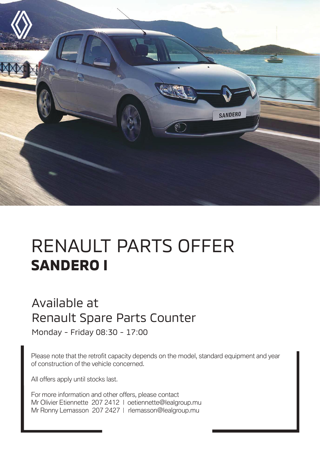

## RENAULT PARTS OFFER **SANDERO I**

## Available at Renault Spare Parts Counter

Monday - Friday 08:30 - 17:00

Please note that the retrofit capacity depends on the model, standard equipment and year of construction of the vehicle concerned.

All offers apply until stocks last.

For more information and other offers, please contact Mr Olivier Etiennette 207 2412 | oetiennette@lealgroup.mu Mr Ronny Lemasson 207 2427 | rlemasson@lealgroup.mu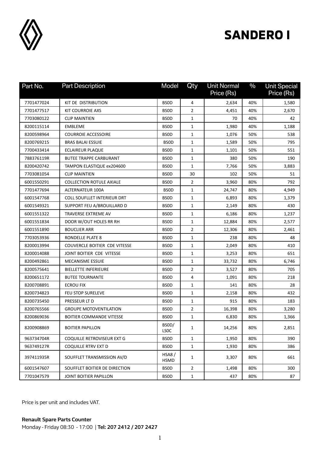

## **SANDERO I**

| Part No.   | <b>Part Description</b>            | Model                | Qty            | <b>Unit Normal</b><br>Price (Rs) | $\frac{0}{0}$ | <b>Unit Special</b><br>Price (Rs) |
|------------|------------------------------------|----------------------|----------------|----------------------------------|---------------|-----------------------------------|
| 7701477024 | KIT DE DISTRIBUTION                | <b>BSOD</b>          | 4              | 2,634                            | 40%           | 1,580                             |
| 7701477517 | KIT COURROIE AXS                   | <b>BSOD</b>          | $\overline{2}$ | 4,451                            | 40%           | 2,670                             |
| 7703080122 | <b>CLIP MAINTIEN</b>               | <b>BSOD</b>          | 1              | 70                               | 40%           | 42                                |
| 8200115114 | EMBLEME                            | <b>BSOD</b>          | $\mathbf{1}$   | 1,980                            | 40%           | 1,188                             |
| 8200598964 | <b>COURROIE ACCESSOIRE</b>         | <b>BSOD</b>          | $\mathbf{1}$   | 1,076                            | 50%           | 538                               |
| 8200769215 | <b>BRAS BALAI ESSUIE</b>           | <b>BSOD</b>          | 1              | 1,589                            | 50%           | 795                               |
| 7700433414 | ECLAIREUR PLAQUE                   | <b>BSOD</b>          | $\mathbf{1}$   | 1,101                            | 50%           | 551                               |
| 788376119R | <b>BUTEE TRAPPE CARBURANT</b>      | <b>BSOD</b>          | $\mathbf{1}$   | 380                              | 50%           | 190                               |
| 8200420742 | TAMPON ELASTIQUE ex204600          | <b>BSOD</b>          | 1              | 7,766                            | 50%           | 3,883                             |
| 7703081054 | <b>CLIP MAINTIEN</b>               | <b>BSOD</b>          | 30             | 102                              | 50%           | 51                                |
| 6001550291 | <b>COLLECTION ROTULE AXIALE</b>    | <b>BSOD</b>          | $\overline{2}$ | 3,960                            | 80%           | 792                               |
| 7701477694 | ALTERNATEUR 100A                   | <b>BSOD</b>          | 1              | 24,747                           | 80%           | 4,949                             |
| 6001547768 | <b>COLL SOUFLLET INTERIEUR DRT</b> | <b>BSOD</b>          | $\mathbf{1}$   | 6,893                            | 80%           | 1,379                             |
| 6001549321 | SUPPORT FEU A/BROUILLARD D         | <b>BSOD</b>          | $\mathbf{1}$   | 2,149                            | 80%           | 430                               |
| 6001551322 | <b>TRAVERSE EXTREME AV</b>         | <b>BSOD</b>          | $\mathbf{1}$   | 6,186                            | 80%           | 1,237                             |
| 6001551834 | DOOR W/OUT HOLES RR RH             | <b>BSOD</b>          | $\mathbf{1}$   | 12,884                           | 80%           | 2,577                             |
| 6001551890 | <b>BOUCLIER ARR</b>                | <b>BSOD</b>          | $\overline{2}$ | 12,306                           | 80%           | 2,461                             |
| 7703053936 | RONDELLE PLATE 8                   | <b>BSOD</b>          | $\mathbf{1}$   | 238                              | 80%           | 48                                |
| 8200013994 | COUVERCLE BOITIER CDE VITESSE      | <b>BSOD</b>          | $\mathbf{1}$   | 2,049                            | 80%           | 410                               |
| 8200014088 | JOINT BOITIER CDE VITESSE          | <b>BSOD</b>          | $\mathbf{1}$   | 3,253                            | 80%           | 651                               |
| 8200492861 | <b>MECANISME ESSUIE</b>            | <b>BSOD</b>          | 1              | 33,732                           | 80%           | 6,746                             |
| 8200575641 | <b>BIELLETTE INFERIEURE</b>        | <b>BSOD</b>          | $\overline{2}$ | 3,527                            | 80%           | 705                               |
| 8200651172 | <b>BUTEE TOURNANTE</b>             | <b>BSOD</b>          | 4              | 1,091                            | 80%           | 218                               |
| 8200708891 | <b>ECROU FIX</b>                   | <b>BSOD</b>          | 1              | 141                              | 80%           | 28                                |
| 8200734823 | FEU STOP SURELEVE                  | <b>BSOD</b>          | $\mathbf{1}$   | 2,158                            | 80%           | 432                               |
| 8200735450 | PRESSEUR LT D                      | <b>BSOD</b>          | $\mathbf{1}$   | 915                              | 80%           | 183                               |
| 8200765566 | <b>GROUPE MOTOVENTILATION</b>      | <b>BSOD</b>          | $\overline{2}$ | 16,398                           | 80%           | 3,280                             |
| 8200869036 | <b>BOITIER COMMANDE VITESSE</b>    | <b>BSOD</b>          | 1              | 6,830                            | 80%           | 1,366                             |
| 8200908869 | <b>BOITIER PAPILLON</b>            | BSOD/<br><b>LSOC</b> | $\mathbf{1}$   | 14,256                           | 80%           | 2,851                             |
| 963734704R | COQUILLE RETROVISEUR EXT G         | <b>BSOD</b>          | $\mathbf{1}$   | 1,950                            | 80%           | 390                               |
| 963749127R | <b>COQUILLE RTRV EXT D</b>         | <b>BSOD</b>          | $\mathbf{1}$   | 1,930                            | 80%           | 386                               |
| 397411935R | SOUFFLET TRANSMISSION AV/D         | HSA8/<br>HSMD        | 1              | 3,307                            | 80%           | 661                               |
| 6001547607 | SOUFFLET BOITIER DE DIRECTION      | <b>BSOD</b>          | $\overline{2}$ | 1,498                            | 80%           | 300                               |
| 7701047579 | JOINT BOITIER PAPILLON             | <b>BSOD</b>          | $\mathbf{1}$   | 437                              | 80%           | 87                                |

Price is per unit and includes VAT.